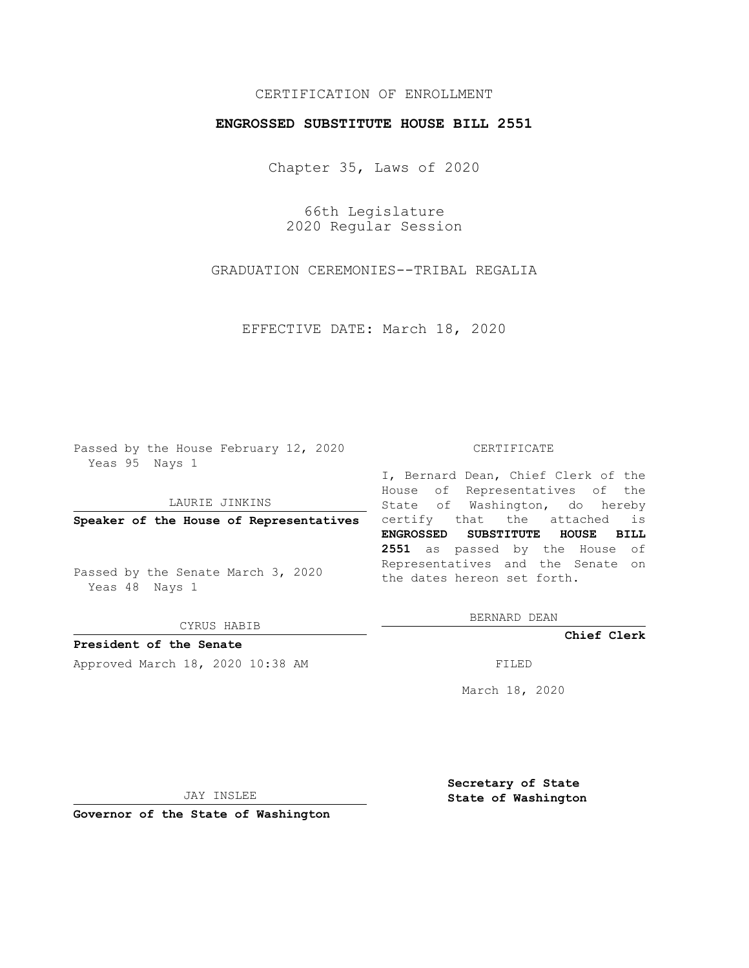## CERTIFICATION OF ENROLLMENT

## **ENGROSSED SUBSTITUTE HOUSE BILL 2551**

Chapter 35, Laws of 2020

66th Legislature 2020 Regular Session

GRADUATION CEREMONIES--TRIBAL REGALIA

EFFECTIVE DATE: March 18, 2020

Passed by the House February 12, 2020 Yeas 95 Nays 1

### LAURIE JINKINS

Passed by the Senate March 3, 2020 Yeas 48 Nays 1

CYRUS HABIB

**President of the Senate** Approved March 18, 2020 10:38 AM FILED

#### CERTIFICATE

**Speaker of the House of Representatives** certify that the attached is I, Bernard Dean, Chief Clerk of the House of Representatives of the State of Washington, do hereby **ENGROSSED SUBSTITUTE HOUSE BILL 2551** as passed by the House of Representatives and the Senate on the dates hereon set forth.

BERNARD DEAN

**Chief Clerk**

March 18, 2020

JAY INSLEE

**Governor of the State of Washington**

**Secretary of State State of Washington**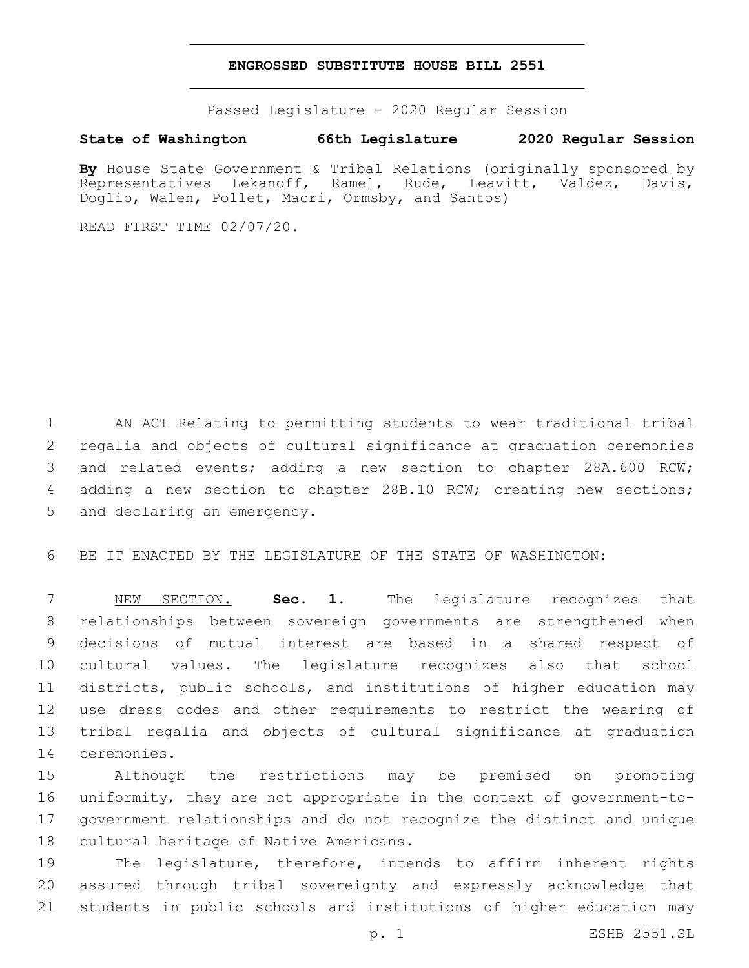## **ENGROSSED SUBSTITUTE HOUSE BILL 2551**

Passed Legislature - 2020 Regular Session

# **State of Washington 66th Legislature 2020 Regular Session**

By House State Government & Tribal Relations (originally sponsored by Representatives Lekanoff, Ramel, Rude, Leavitt, Valdez, Davis, Doglio, Walen, Pollet, Macri, Ormsby, and Santos)

READ FIRST TIME 02/07/20.

 AN ACT Relating to permitting students to wear traditional tribal regalia and objects of cultural significance at graduation ceremonies and related events; adding a new section to chapter 28A.600 RCW; adding a new section to chapter 28B.10 RCW; creating new sections; 5 and declaring an emergency.

BE IT ENACTED BY THE LEGISLATURE OF THE STATE OF WASHINGTON:

 NEW SECTION. **Sec. 1.** The legislature recognizes that relationships between sovereign governments are strengthened when decisions of mutual interest are based in a shared respect of cultural values. The legislature recognizes also that school districts, public schools, and institutions of higher education may use dress codes and other requirements to restrict the wearing of tribal regalia and objects of cultural significance at graduation ceremonies.

 Although the restrictions may be premised on promoting uniformity, they are not appropriate in the context of government-to- government relationships and do not recognize the distinct and unique 18 cultural heritage of Native Americans.

 The legislature, therefore, intends to affirm inherent rights assured through tribal sovereignty and expressly acknowledge that students in public schools and institutions of higher education may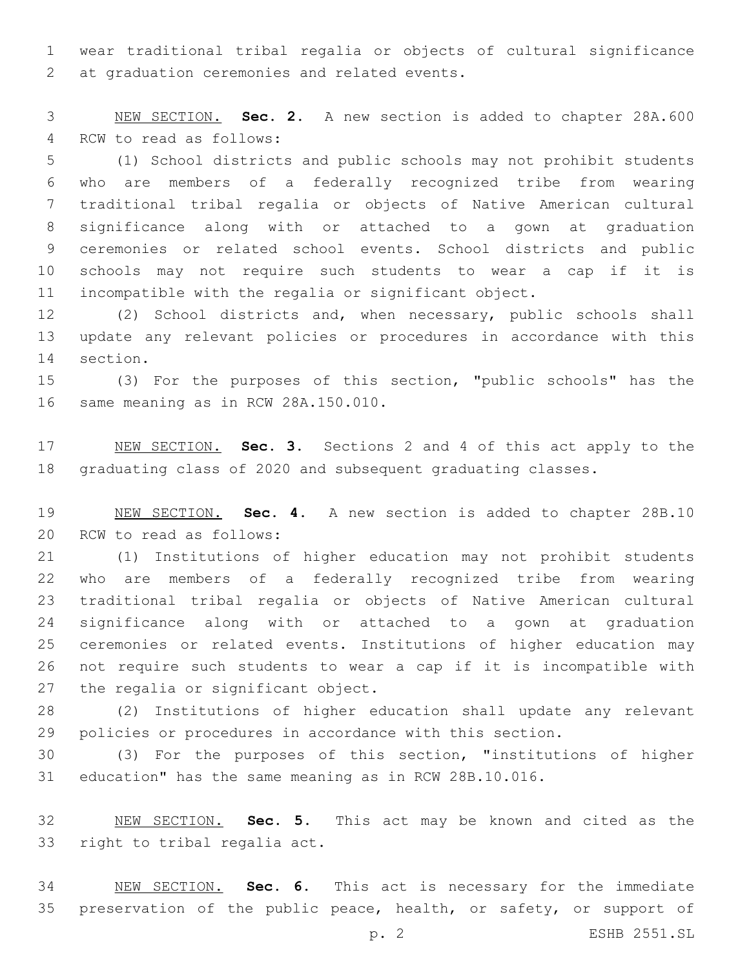wear traditional tribal regalia or objects of cultural significance 2 at graduation ceremonies and related events.

 NEW SECTION. **Sec. 2.** A new section is added to chapter 28A.600 4 RCW to read as follows:

 (1) School districts and public schools may not prohibit students who are members of a federally recognized tribe from wearing traditional tribal regalia or objects of Native American cultural significance along with or attached to a gown at graduation ceremonies or related school events. School districts and public schools may not require such students to wear a cap if it is incompatible with the regalia or significant object.

 (2) School districts and, when necessary, public schools shall update any relevant policies or procedures in accordance with this 14 section.

 (3) For the purposes of this section, "public schools" has the 16 same meaning as in RCW 28A.150.010.

 NEW SECTION. **Sec. 3.** Sections 2 and 4 of this act apply to the graduating class of 2020 and subsequent graduating classes.

 NEW SECTION. **Sec. 4.** A new section is added to chapter 28B.10 20 RCW to read as follows:

 (1) Institutions of higher education may not prohibit students who are members of a federally recognized tribe from wearing traditional tribal regalia or objects of Native American cultural significance along with or attached to a gown at graduation ceremonies or related events. Institutions of higher education may not require such students to wear a cap if it is incompatible with 27 the regalia or significant object.

 (2) Institutions of higher education shall update any relevant policies or procedures in accordance with this section.

 (3) For the purposes of this section, "institutions of higher education" has the same meaning as in RCW 28B.10.016.

 NEW SECTION. **Sec. 5.** This act may be known and cited as the right to tribal regalia act.

 NEW SECTION. **Sec. 6.** This act is necessary for the immediate 35 preservation of the public peace, health, or safety, or support of

p. 2 ESHB 2551.SL